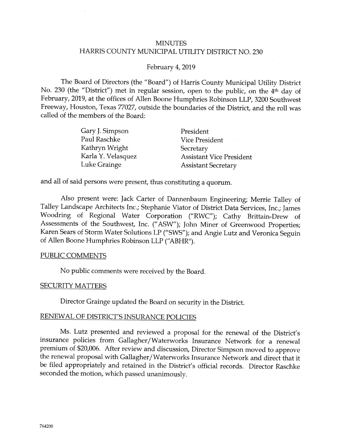## **MINUTES** HARRIS COUNTY MUNICIPAL UTILITY DISTRICT NO. 230

#### February 4, 2019

The Board of Directors (the "Board") of Harris County Municipal Utility District No. 230 (the "District") met in regular session, open to the public, on the 4<sup>th</sup> day of February, 2019, at the offices of Allen Boone Humphries Robinson LLP, 3200 Southwest Freeway, Houston, Texas 77027, outside the boundaries of the District, and the roll was called of the members of the Board:

> Gary J. Simpson PauI Raschke Kathryn Wright Karla Y. Velasquez Luke Grainge

President Vice President **Secretary** Assistant Vice President **Assistant Secretary** 

and all of said persons were present, thus constituting a quorum.

Also present were: Jack Carter of Dannenbaum Engineering; Merrie Talley of Talley Landscape Architects Inc.; Stephanie Viator of District Data Services, Inc.; James Woodring of Regional Water Corporation ("RWC"); Cathy Brittain-Drew of Assessments of the Southwest, Inc. ("ASW"); John Miner of Greenwood Properties; Karen Sears of Storm Water Solutions LP ("SWS"); and Angie Lutz and Veronica Seguin of Allen Boone Humphries Robinson LLP ("ABHR").

#### PUBLIC COMMENTS

No public comments were received by the Board.

#### **SECURITY MATTERS**

Director Grainge updated the Board on security in the District.

#### RENEWAL OF DISTRICT'S INSURANCE POLICIES

Ms. Lutz presented and reviewed a proposal for the renewal of the District's insurance policies from Gallagher/Waterworks Insurance Network for a renewal premium of \$20,006. After review and discussion, Director Simpson moved to approve the renewal proposal with Gallagher/Waterworks Insurance Network and direct that it be filed appropriately and retained in the District's official records. Director Raschke seconded the motion, which passed unanimously.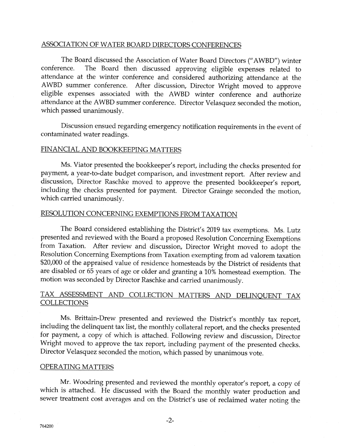## ASSOCIATION OF WATER BOARD DIRECTORS CONFERENCES

The Board discussed the Association of Water Board Directors ("AWBD") winter<br>conference. The Board then discussed approving eligible expenses related to The Board then discussed approving eligible expenses related to attendance at the winter conference and considered authorizing attendance at the AWBD summer conference. After discussion, Director Wright moved to approve eligible expenses associated with the AWBD winter conference and authorize attendance at the AWBD summer conference. Director Velasquez seconded the motion, which passed unanimously.

Discussion ensued regarding emergency notification requirements in the event of contaminated water readings.

#### FINANCIAL AND BOOKKEEPING MATTERS

Ms. Viator presented the bookkeeper's report, including the checks presented for payment, a year-to-date budget comparison, and investment report. After review and discussion, Director Raschke moved to approve the presented bookkeeper's report, including the checks presented for payment. Director Grainge seconded the motion, which carried unanimousiv.

#### RESOLUTION CONCERNING EXEMPTIONS FROM TAXATION

The Board considered establishing the District's 2019 tax exemptions. Ms. Lutz presented and reviewed with the Board a proposed Resolution Concerning Exemptions from Taxation. After review and discussion, Director Wright moved to adopt the Resolution Concerning Exemptions from Taxation exempting from ad valorem taxation \$20,000 of the appraised value of residence homesteads by the District of residents that are disabled or 55 years of age or older and granting a 10% homestead exemption. The motion was seconded by Director Raschke and carried unanimously.

## TAX ASSESSMENT AND COLLECTION MATTERS AND DELINQUENT TAX **COLLECTIONS**

Ms. Brittain-Drew presented and reviewed the District's monthly tax report, including the delinquent tax list, the monthly collateral report, and the checks presented for payment, a copy of which is attached. Following review and discussion, Director Wright moved to approve the tax report, including payment of the presented checks. Director Velasquez seconded the motion, which passed by unanimous vote.

#### OPERATING MATTERS

Mr. Woodring presented and reviewed the monthly operator's report, a copy of which is attached. He discussed with the Board the monthly water production and sewer treatment cost averages and on the District's use of reclaimed water noting the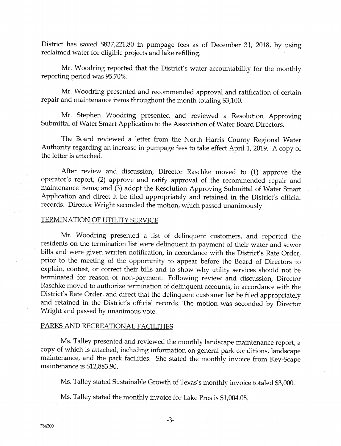District has saved \$837,221.80 in pumpage fees as of December 31, 2018, by using reclaimed water for eligible projects and lake refilling.

Mr. Woodring reported that the District's water accountability for the monthly reporting period was 95.70%.

Mr. Woodring presented and recommended approval and ratification of certain repair and maintenance items throughout the month totaling \$3,100.

Mr. Stephen Woodring presented and reviewed a Resolution Approving Submittal of Water Smart Application to the Association of Water Board Directors.

The Board reviewed a letter from the North Harris County Regional Water Authority regarding an increase in pumpage fees to take effect April 1, 2019. A copy of the lefter is attached.

After review and discussion, Director Raschke moved to (1) approve the operator's report; (2) approve and ratify approval of the recommended repair and maintenance items; and (3) adopt the Kesolution Approving Submittal of Water Smart Application and direct it be filed appropriately and retained in the District's official records. Director Wright seconded the motion, which passed unanimously

#### TERMINATION OF UTILITY SERVICE

Mr. Woodring presented a list of delinquent customers, and reported the residents on the termination list were delinquent in payment of their water and sewer bills and were given written notification, in accordance with the District's Rate Order, prior to the meeting of the opportunity to appear before the Board of Directors to explain, contest, or correct their bills and to show why utility services should not be terminated for reason of non-payment. Following review and discussion, Director Raschke moved to authorize termination of delinquent accounts, in accordance with the District's Rate Order, and direct that the delinquent customer list be filed appropriately and retained in the District's official records. The motion was seconded by Director Wright and passed by unanimous vote.

## PARKS AND RECREATIONAL FACILITIES

Ms. Talley presented and reviewed the monthly landscape maintenance report, a copy of which is attached, including information on general park conditions, landscape maintenance, and the park facilities. \$he stated the monthly invoice from Key-Scape maintenance is \$12,883.90.

Ms. Talley stated Sustainable Growth of Texas's monthly invoice totaled \$3,000.

Ms. Talley stated the monthly invoice for Lake Pros is \$1,004.08.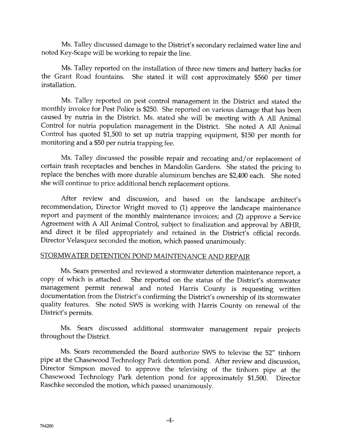Ms. Talley discussed damage to the District's secondary reclaimed water line and noted Key-Scape will be working to repair the line.

Ms. Talley reported on the installation of three new timers and battery backs for the Grant Road fountains. She stated it will cost approximately \$560 per timer installation.

Ms. Talley reported on pest control management in the District and stated the monthly invoice for Pest Police is \$250. She reported on various damage that has been caused by nutria in the District. Ms. stated she will be meeting with A All Animal Control for nutria population management in the District. She noted A All Animal Control has quoted  $$1,500$  to set up nutria trapping equipment, \$150 per month for monitoring and a \$50 per nutria trapping fee.

Ms. Talley discussed the possible repair and recoating and/or replacement of certain trash receptacles and benches in Mandolin Cardens. She stated the pricing to replace the benches with more durable aluminum benches are \$2,400 each. She noted she will continue to price additional bench replacement options.

After review and discussion, and based on the landscape architect's recommendation, Director Wright moved to (1) approve the landscape maintenance report and payment of the monthly maintenance invoices; and (2) approve a Service Agreement with A All Animal Control, subject to finalization and approval by ABHR, and direct it be filed appropriately and retained in the District's official records. Director Velasquez seconded the motion, which passed unanimously.

#### STORMWATER DETENTION POND MAINTENANCE AND REPAIR

Ms. Sears presented and reviewed a stormwater detention maintenance report, a copy of which is attached. She reported on the status of the District's stormwater management permit renewal and noted Harris County is requesting written documentation from the District's confirming the District's ownership of its stormwater quality features. She noted SWS is working with Harris County on renewal of the District's permits.

Ms. Sears discussed additional stormwater management repair projects throughout the District.

Ms. Sears recommended the Board authorize SWS to televise the 52" tinhorn pipe at the Chasewood Technology Park detention pond. After review and discussion, Director Simpson moved to approve the televising of the tinhorn pipe at the Chasewood Technology Park detention pond for approximately \$1,500. Director Raschke seconded the motion, which passed unanimously.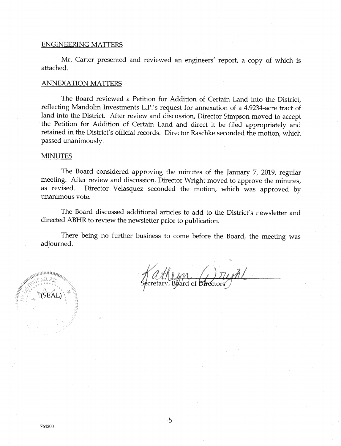#### **ENGINEERING MATTERS**

Mr. Carter presented and reviewed an engineers' report, a copy of which is attached.

#### **ANNEXATION MATTERS**

The Board reviewed a Petition for Addition of Certain Land into the District, reflecting Mandolin Investments L.P.'s request for annexation of a 4.9234-acre tract of land into the District. After review and discussion, Director Simpson moved to accept the Petition for Addition of Certain Land and direct it be filed appropriately and retained in the District's official records. Director Raschke seconded the motion, which passed unanimously.

#### **MINUTES**

The Board considered approving the minutes of the January 7, 2019, regular meeting. After review and discussion, Director Wright moved to approve the minutes, Director Velasquez seconded the motion, which was approved by as revised. unanimous vote.

The Board discussed additional articles to add to the District's newsletter and directed ABHR to review the newsletter prior to publication.

There being no further business to come before the Board, the meeting was adjourned.

**ANTINESSISSIONE** SEAL

Board of Directors